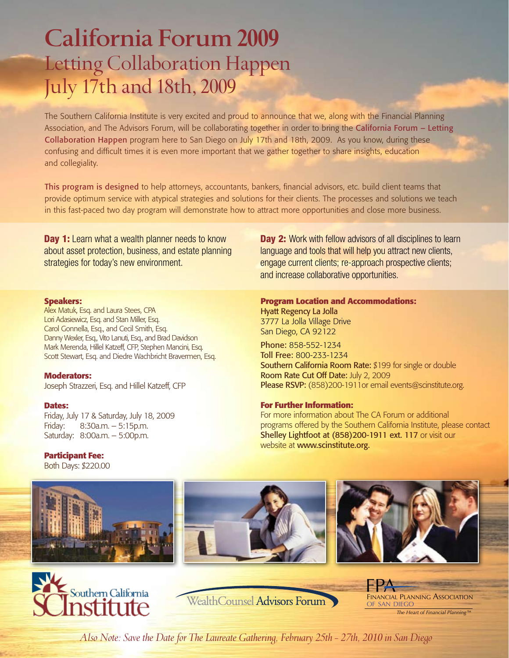# **California Forum 2009** Letting Collaboration Happen July 17th and 18th, 2009

The Southern California Institute is very excited and proud to announce that we, along with the Financial Planning Association, and The Advisors Forum, will be collaborating together in order to bring the California Forum – Letting Collaboration Happen program here to San Diego on July 17th and 18th, 2009. As you know, during these confusing and difficult times it is even more important that we gather together to share insights, education and collegiality.

This program is designed to help attorneys, accountants, bankers, financial advisors, etc. build client teams that provide optimum service with atypical strategies and solutions for their clients. The processes and solutions we teach in this fast-paced two day program will demonstrate how to attract more opportunities and close more business.

**Day 1:** Learn what a wealth planner needs to know about asset protection, business, and estate planning strategies for today's new environment.

## **Speakers:**

Alex Matuk, Esq. and Laura Stees, CPA Lori Adasiewicz, Esq. and Stan Miller, Esq. Carol Gonnella, Esq., and Cecil Smith, Esq. Danny Wexler, Esq., Vito Lanuti, Esq., and Brad Davidson Mark Merenda, Hillel Katzeff, CFP, Stephen Mancini, Esq. Scott Stewart, Esq. and Diedre Wachbricht Bravermen, Esq.

## **Moderators:**

Joseph Strazzeri, Esq. and Hillel Katzeff, CFP

## **Dates:**

Friday, July 17 & Saturday, July 18, 2009 Friday: 8:30a.m. – 5:15p.m. Saturday: 8:00a.m. – 5:00p.m.

## **Participant Fee:**

Both Days: \$220.00









WealthCounsel Advisors Forum

FPA<br>Financial Planni<del>ng Association</del> of san diego *The Heart of Financial Planning™*

and increase collaborative opportunities. **Program Location and Accommodations:**

Day 2: Work with fellow advisors of all disciplines to learn language and tools that will help you attract new clients, engage current clients; re-approach prospective clients;

Hyatt Regency La Jolla

3777 La Jolla Village Drive San Diego, CA 92122

Phone: 858-552-1234 Toll Free: 800-233-1234 Southern California Room Rate: \$199 for single or double Room Rate Cut Off Date: July 2, 2009 Please RSVP: (858)200-1911or email events@scinstitute.org.

## **For Further Information:**

For more information about The CA Forum or additional programs offered by the Southern California Institute, please contact Shelley Lightfoot at (858)200-1911 ext. 117 or visit our website at www.scinstitute.org.

*Also Note: Save the Date for The Laureate Gathering, February 25th - 27th, 2010 in San Diego*